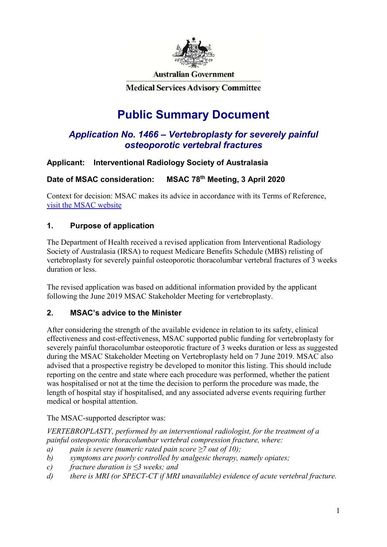

**Australian Government** 

**Medical Services Advisory Committee** 

# **Public Summary Document**

# *Application No. 1466 – Vertebroplasty for severely painful osteoporotic vertebral fractures*

## **Applicant: Interventional Radiology Society of Australasia**

## **Date of MSAC consideration: MSAC 78th Meeting, 3 April 2020**

Context for decision: MSAC makes its advice in accordance with its Terms of Reference, [visit the MSAC website](http://www.msac.gov.au/)

#### **1. Purpose of application**

The Department of Health received a revised application from Interventional Radiology Society of Australasia (IRSA) to request Medicare Benefits Schedule (MBS) relisting of vertebroplasty for severely painful osteoporotic thoracolumbar vertebral fractures of 3 weeks duration or less.

The revised application was based on additional information provided by the applicant following the June 2019 MSAC Stakeholder Meeting for vertebroplasty.

#### **2. MSAC's advice to the Minister**

After considering the strength of the available evidence in relation to its safety, clinical effectiveness and cost-effectiveness, MSAC supported public funding for vertebroplasty for severely painful thoracolumbar osteoporotic fracture of 3 weeks duration or less as suggested during the MSAC Stakeholder Meeting on Vertebroplasty held on 7 June 2019. MSAC also advised that a prospective registry be developed to monitor this listing. This should include reporting on the centre and state where each procedure was performed, whether the patient was hospitalised or not at the time the decision to perform the procedure was made, the length of hospital stay if hospitalised, and any associated adverse events requiring further medical or hospital attention.

#### The MSAC-supported descriptor was:

*VERTEBROPLASTY, performed by an interventional radiologist, for the treatment of a painful osteoporotic thoracolumbar vertebral compression fracture, where:*

- *a) pain is severe (numeric rated pain score ≥7 out of 10);*
- *b) symptoms are poorly controlled by analgesic therapy, namely opiates;*
- *c) fracture duration is ≤3 weeks; and*
- *d) there is MRI (or SPECT-CT if MRI unavailable) evidence of acute vertebral fracture.*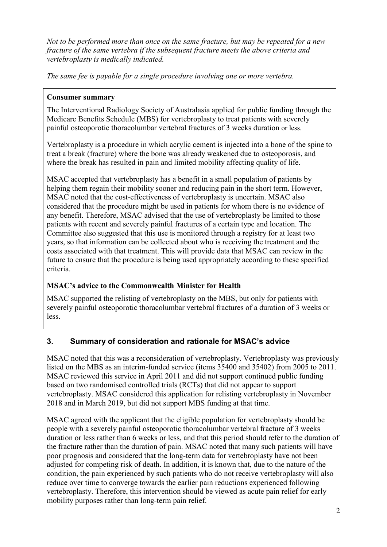*Not to be performed more than once on the same fracture, but may be repeated for a new fracture of the same vertebra if the subsequent fracture meets the above criteria and vertebroplasty is medically indicated.*

*The same fee is payable for a single procedure involving one or more vertebra.*

#### **Consumer summary**

The Interventional Radiology Society of Australasia applied for public funding through the Medicare Benefits Schedule (MBS) for vertebroplasty to treat patients with severely painful osteoporotic thoracolumbar vertebral fractures of 3 weeks duration or less.

Vertebroplasty is a procedure in which acrylic cement is injected into a bone of the spine to treat a break (fracture) where the bone was already weakened due to osteoporosis, and where the break has resulted in pain and limited mobility affecting quality of life.

MSAC accepted that vertebroplasty has a benefit in a small population of patients by helping them regain their mobility sooner and reducing pain in the short term. However, MSAC noted that the cost-effectiveness of vertebroplasty is uncertain. MSAC also considered that the procedure might be used in patients for whom there is no evidence of any benefit. Therefore, MSAC advised that the use of vertebroplasty be limited to those patients with recent and severely painful fractures of a certain type and location. The Committee also suggested that this use is monitored through a registry for at least two years, so that information can be collected about who is receiving the treatment and the costs associated with that treatment. This will provide data that MSAC can review in the future to ensure that the procedure is being used appropriately according to these specified criteria.

#### **MSAC's advice to the Commonwealth Minister for Health**

MSAC supported the relisting of vertebroplasty on the MBS, but only for patients with severely painful osteoporotic thoracolumbar vertebral fractures of a duration of 3 weeks or less.

# **3. Summary of consideration and rationale for MSAC's advice**

MSAC noted that this was a reconsideration of vertebroplasty. Vertebroplasty was previously listed on the MBS as an interim-funded service (items 35400 and 35402) from 2005 to 2011. MSAC reviewed this service in April 2011 and did not support continued public funding based on two randomised controlled trials (RCTs) that did not appear to support vertebroplasty. MSAC considered this application for relisting vertebroplasty in November 2018 and in March 2019, but did not support MBS funding at that time.

MSAC agreed with the applicant that the eligible population for vertebroplasty should be people with a severely painful osteoporotic thoracolumbar vertebral fracture of 3 weeks duration or less rather than 6 weeks or less, and that this period should refer to the duration of the fracture rather than the duration of pain. MSAC noted that many such patients will have poor prognosis and considered that the long-term data for vertebroplasty have not been adjusted for competing risk of death. In addition, it is known that, due to the nature of the condition, the pain experienced by such patients who do not receive vertebroplasty will also reduce over time to converge towards the earlier pain reductions experienced following vertebroplasty. Therefore, this intervention should be viewed as acute pain relief for early mobility purposes rather than long-term pain relief.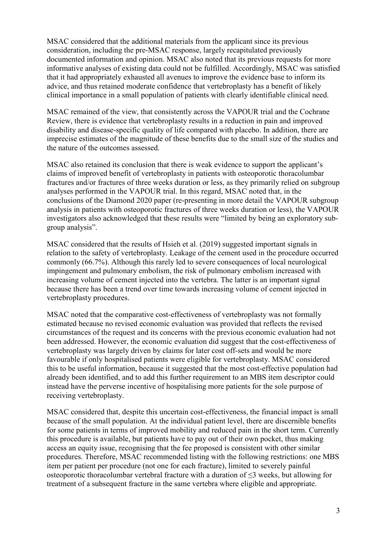MSAC considered that the additional materials from the applicant since its previous consideration, including the pre-MSAC response, largely recapitulated previously documented information and opinion. MSAC also noted that its previous requests for more informative analyses of existing data could not be fulfilled. Accordingly, MSAC was satisfied that it had appropriately exhausted all avenues to improve the evidence base to inform its advice, and thus retained moderate confidence that vertebroplasty has a benefit of likely clinical importance in a small population of patients with clearly identifiable clinical need.

MSAC remained of the view, that consistently across the VAPOUR trial and the Cochrane Review, there is evidence that vertebroplasty results in a reduction in pain and improved disability and disease-specific quality of life compared with placebo. In addition, there are imprecise estimates of the magnitude of these benefits due to the small size of the studies and the nature of the outcomes assessed.

MSAC also retained its conclusion that there is weak evidence to support the applicant's claims of improved benefit of vertebroplasty in patients with osteoporotic thoracolumbar fractures and/or fractures of three weeks duration or less, as they primarily relied on subgroup analyses performed in the VAPOUR trial. In this regard, MSAC noted that, in the conclusions of the Diamond 2020 paper (re-presenting in more detail the VAPOUR subgroup analysis in patients with osteoporotic fractures of three weeks duration or less), the VAPOUR investigators also acknowledged that these results were "limited by being an exploratory subgroup analysis".

MSAC considered that the results of Hsieh et al. (2019) suggested important signals in relation to the safety of vertebroplasty. Leakage of the cement used in the procedure occurred commonly (66.7%). Although this rarely led to severe consequences of local neurological impingement and pulmonary embolism, the risk of pulmonary embolism increased with increasing volume of cement injected into the vertebra. The latter is an important signal because there has been a trend over time towards increasing volume of cement injected in vertebroplasty procedures.

MSAC noted that the comparative cost-effectiveness of vertebroplasty was not formally estimated because no revised economic evaluation was provided that reflects the revised circumstances of the request and its concerns with the previous economic evaluation had not been addressed. However, the economic evaluation did suggest that the cost-effectiveness of vertebroplasty was largely driven by claims for later cost off-sets and would be more favourable if only hospitalised patients were eligible for vertebroplasty. MSAC considered this to be useful information, because it suggested that the most cost-effective population had already been identified, and to add this further requirement to an MBS item descriptor could instead have the perverse incentive of hospitalising more patients for the sole purpose of receiving vertebroplasty.

MSAC considered that, despite this uncertain cost-effectiveness, the financial impact is small because of the small population. At the individual patient level, there are discernible benefits for some patients in terms of improved mobility and reduced pain in the short term. Currently this procedure is available, but patients have to pay out of their own pocket, thus making access an equity issue, recognising that the fee proposed is consistent with other similar procedures. Therefore, MSAC recommended listing with the following restrictions: one MBS item per patient per procedure (not one for each fracture), limited to severely painful osteoporotic thoracolumbar vertebral fracture with a duration of ≤3 weeks, but allowing for treatment of a subsequent fracture in the same vertebra where eligible and appropriate.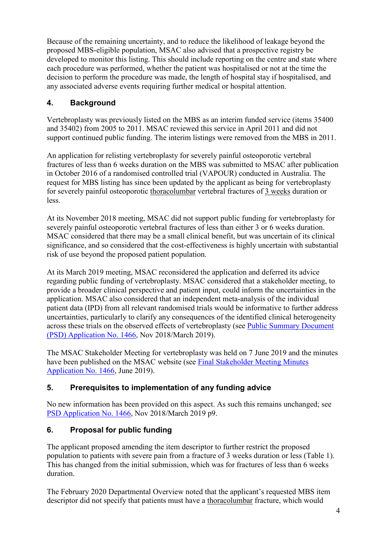Because of the remaining uncertainty, and to reduce the likelihood of leakage beyond the proposed MBS-eligible population, MSAC also advised that a prospective registry be developed to monitor this listing. This should include reporting on the centre and state where each procedure was performed, whether the patient was hospitalised or not at the time the decision to perform the procedure was made, the length of hospital stay if hospitalised, and any associated adverse events requiring further medical or hospital attention.

# **4. Background**

Vertebroplasty was previously listed on the MBS as an interim funded service (items 35400 and 35402) from 2005 to 2011. MSAC reviewed this service in April 2011 and did not support continued public funding. The interim listings were removed from the MBS in 2011.

An application for relisting vertebroplasty for severely painful osteoporotic vertebral fractures of less than 6 weeks duration on the MBS was submitted to MSAC after publication in October 2016 of a randomised controlled trial (VAPOUR) conducted in Australia. The request for MBS listing has since been updated by the applicant as being for vertebroplasty for severely painful osteoporotic thoracolumbar vertebral fractures of 3 weeks duration or less.

At its November 2018 meeting, MSAC did not support public funding for vertebroplasty for severely painful osteoporotic vertebral fractures of less than either 3 or 6 weeks duration. MSAC considered that there may be a small clinical benefit, but was uncertain of its clinical significance, and so considered that the cost-effectiveness is highly uncertain with substantial risk of use beyond the proposed patient population.

At its March 2019 meeting, MSAC reconsidered the application and deferred its advice regarding public funding of vertebroplasty. MSAC considered that a stakeholder meeting, to provide a broader clinical perspective and patient input, could inform the uncertainties in the application. MSAC also considered that an independent meta-analysis of the individual patient data (IPD) from all relevant randomised trials would be informative to further address uncertainties, particularly to clarify any consequences of the identified clinical heterogeneity across these trials on the observed effects of vertebroplasty (see [Public Summary Document](http://www.msac.gov.au/internet/msac/publishing.nsf/Content/1466-Public)  [\(PSD\) Application](http://www.msac.gov.au/internet/msac/publishing.nsf/Content/1466-Public) No. 1466, Nov 2018/March 2019).

The MSAC Stakeholder Meeting for vertebroplasty was held on 7 June 2019 and the minutes have been published on the MSAC website (see [Final Stakeholder Meeting Minutes](http://www.msac.gov.au/internet/msac/publishing.nsf/Content/1466-Public) [Application](http://www.msac.gov.au/internet/msac/publishing.nsf/Content/1466-Public) No. 1466, June 2019).

# **5. Prerequisites to implementation of any funding advice**

No new information has been provided on this aspect. As such this remains unchanged; see [PSD Application](http://www.msac.gov.au/internet/msac/publishing.nsf/Content/1466-Public) No. 1466, Nov 2018/March 2019 p9.

# **6. Proposal for public funding**

The applicant proposed amending the item descriptor to further restrict the proposed population to patients with severe pain from a fracture of 3 weeks duration or less [\(Table 1\)](#page-4-0). This has changed from the initial submission, which was for fractures of less than 6 weeks duration.

The February 2020 Departmental Overview noted that the applicant's requested MBS item descriptor did not specify that patients must have a thoracolumbar fracture, which would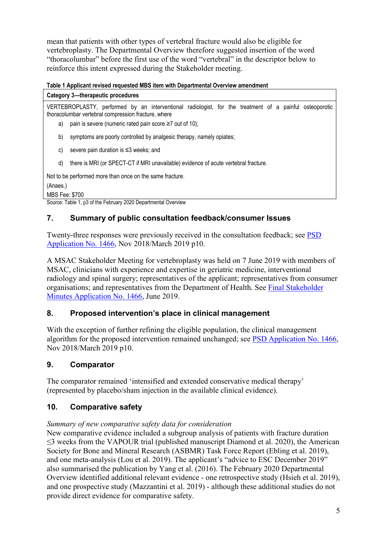mean that patients with other types of vertebral fracture would also be eligible for vertebroplasty. The Departmental Overview therefore suggested insertion of the word "thoracolumbar" before the first use of the word "vertebral" in the descriptor below to reinforce this intent expressed during the Stakeholder meeting.

#### <span id="page-4-0"></span>**Table 1 Applicant revised requested MBS item with Departmental Overview amendment**

| Category 3—therapeutic procedures                                                                                                                              |  |  |  |  |  |  |
|----------------------------------------------------------------------------------------------------------------------------------------------------------------|--|--|--|--|--|--|
| VERTEBROPLASTY, performed by an interventional radiologist, for the treatment of a painful osteoporotic<br>thoracolumbar vertebral compression fracture, where |  |  |  |  |  |  |
| pain is severe (numeric rated pain score $\geq 7$ out of 10);<br>a)                                                                                            |  |  |  |  |  |  |
| symptoms are poorly controlled by analgesic therapy, namely opiates;<br>b)                                                                                     |  |  |  |  |  |  |
| severe pain duration is $\leq$ 3 weeks; and                                                                                                                    |  |  |  |  |  |  |
| there is MRI (or SPECT-CT if MRI unavailable) evidence of acute vertebral fracture.<br>d)                                                                      |  |  |  |  |  |  |
| Not to be performed more than once on the same fracture.<br>(Anaes.)                                                                                           |  |  |  |  |  |  |

MBS Fee: \$700

Source: Table 1, p3 of the February 2020 Departmental Overview

#### **7. Summary of public consultation feedback/consumer Issues**

Twenty-three responses were previously received in the consultation feedback; see [PSD](http://www.msac.gov.au/internet/msac/publishing.nsf/Content/1466-Public)  [Application](http://www.msac.gov.au/internet/msac/publishing.nsf/Content/1466-Public) No. 1466, Nov 2018/March 2019 p10.

A MSAC Stakeholder Meeting for vertebroplasty was held on 7 June 2019 with members of MSAC, clinicians with experience and expertise in geriatric medicine, interventional radiology and spinal surgery; representatives of the applicant; representatives from consumer organisations; and representatives from the Department of Health. See [Final Stakeholder](http://www.msac.gov.au/internet/msac/publishing.nsf/Content/1466-Public)  [Minutes Application No. 1466,](http://www.msac.gov.au/internet/msac/publishing.nsf/Content/1466-Public) June 2019.

#### **8. Proposed intervention's place in clinical management**

With the exception of further refining the eligible population, the clinical management algorithm for the proposed intervention remained unchanged; see [PSD Application](http://www.msac.gov.au/internet/msac/publishing.nsf/Content/1466-Public) No. 1466, Nov 2018/March 2019 p10.

#### **9. Comparator**

The comparator remained 'intensified and extended conservative medical therapy' (represented by placebo/sham injection in the available clinical evidence).

#### **10. Comparative safety**

#### *Summary of new comparative safety data for consideration*

New comparative evidence included a subgroup analysis of patients with fracture duration  $\leq$ 3 weeks from the VAPOUR trial (published manuscript Diamond et al. 2020), the American Society for Bone and Mineral Research (ASBMR) Task Force Report (Ebling et al. 2019), and one meta-analysis (Lou et al. 2019). The applicant's "advice to ESC December 2019" also summarised the publication by Yang et al. (2016). The February 2020 Departmental Overview identified additional relevant evidence - one retrospective study (Hsieh et al. 2019), and one prospective study (Mazzantini et al. 2019) - although these additional studies do not provide direct evidence for comparative safety.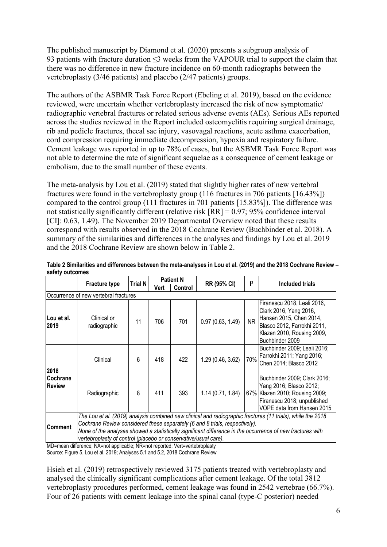The published manuscript by Diamond et al. (2020) presents a subgroup analysis of 93 patients with fracture duration ≤3 weeks from the VAPOUR trial to support the claim that there was no difference in new fracture incidence on 60-month radiographs between the vertebroplasty (3/46 patients) and placebo (2/47 patients) groups.

The authors of the ASBMR Task Force Report (Ebeling et al. 2019), based on the evidence reviewed, were uncertain whether vertebroplasty increased the risk of new symptomatic/ radiographic vertebral fractures or related serious adverse events (AEs). Serious AEs reported across the studies reviewed in the Report included osteomyelitis requiring surgical drainage, rib and pedicle fractures, thecal sac injury, vasovagal reactions, acute asthma exacerbation, cord compression requiring immediate decompression, hypoxia and respiratory failure. Cement leakage was reported in up to 78% of cases, but the ASBMR Task Force Report was not able to determine the rate of significant sequelae as a consequence of cement leakage or embolism, due to the small number of these events.

The meta-analysis by Lou et al. (2019) stated that slightly higher rates of new vertebral fractures were found in the vertebroplasty group (116 fractures in 706 patients [16.43%]) compared to the control group (111 fractures in 701 patients [15.83%]). The difference was not statistically significantly different (relative risk [RR] = 0.97; 95% confidence interval [CI]: 0.63, 1.49). The November 2019 Departmental Overview noted that these results correspond with results observed in the 2018 Cochrane Review (Buchbinder et al. 2018). A summary of the similarities and differences in the analyses and findings by Lou et al. 2019 and the 2018 Cochrane Review are shown below in [Table 2.](#page-5-0)

|                                       | <b>Fracture type</b>                                                                                                                                                                                                                                                                                                                                                        | <b>Trial N</b> |      | <b>Patient N</b> | RR (95% CI)       | $ 2\rangle$ | Included trials                                                                                                                                                  |
|---------------------------------------|-----------------------------------------------------------------------------------------------------------------------------------------------------------------------------------------------------------------------------------------------------------------------------------------------------------------------------------------------------------------------------|----------------|------|------------------|-------------------|-------------|------------------------------------------------------------------------------------------------------------------------------------------------------------------|
|                                       |                                                                                                                                                                                                                                                                                                                                                                             |                | Vert | Control          |                   |             |                                                                                                                                                                  |
| Occurrence of new vertebral fractures |                                                                                                                                                                                                                                                                                                                                                                             |                |      |                  |                   |             |                                                                                                                                                                  |
| Lou et al.<br>2019                    | Clinical or<br>radiographic                                                                                                                                                                                                                                                                                                                                                 | 11             | 706  | 701              | 0.97(0.63, 1.49)  | <b>NR</b>   | Firanescu 2018, Leali 2016,<br>Clark 2016, Yang 2016,<br>Hansen 2015, Chen 2014,<br>Blasco 2012, Farrokhi 2011,<br>Klazen 2010, Rousing 2009,<br>Buchbinder 2009 |
| 2018<br>Cochrane<br><b>Review</b>     | Clinical                                                                                                                                                                                                                                                                                                                                                                    | 6              | 418  | 422              | 1.29 (0.46, 3.62) | 70%         | Buchbinder 2009; Leali 2016;<br>Farrokhi 2011; Yang 2016;<br>Chen 2014; Blasco 2012                                                                              |
|                                       | Radiographic                                                                                                                                                                                                                                                                                                                                                                | 8              | 411  | 393              | 1.14(0.71, 1.84)  |             | Buchbinder 2009; Clark 2016;<br>Yang 2016; Blasco 2012;<br>67% Klazen 2010; Rousing 2009;<br>Firanescu 2018; unpublished<br>VOPE data from Hansen 2015           |
| <b>Comment</b>                        | The Lou et al. (2019) analysis combined new clinical and radiographic fractures (11 trials), while the 2018<br>Cochrane Review considered these separately (6 and 8 trials, respectively).<br>None of the analyses showed a statistically significant difference in the occurrence of new fractures with<br>vertebroplasty of control (placebo or conservative/usual care). |                |      |                  |                   |             |                                                                                                                                                                  |

<span id="page-5-0"></span>**Table 2 Similarities and differences between the meta-analyses in Lou et al. (2019) and the 2018 Cochrane Review – safety outcomes**

MD=mean difference; NA=not applicable; NR=not reported; Vert=vertebroplasty Source: Figure 5, Lou et al. 2019; Analyses 5.1 and 5.2, 2018 Cochrane Review

Hsieh et al. (2019) retrospectively reviewed 3175 patients treated with vertebroplasty and analysed the clinically significant complications after cement leakage. Of the total 3812 vertebroplasty procedures performed, cement leakage was found in 2542 vertebrae (66.7%). Four of 26 patients with cement leakage into the spinal canal (type-C posterior) needed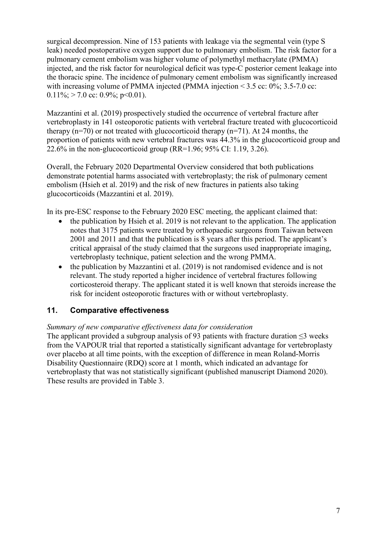surgical decompression. Nine of 153 patients with leakage via the segmental vein (type S leak) needed postoperative oxygen support due to pulmonary embolism. The risk factor for a pulmonary cement embolism was higher volume of polymethyl methacrylate (PMMA) injected, and the risk factor for neurological deficit was type-C posterior cement leakage into the thoracic spine. The incidence of pulmonary cement embolism was significantly increased with increasing volume of PMMA injected (PMMA injection  $\leq 3.5$  cc: 0%; 3.5-7.0 cc:  $0.11\%$ ; > 7.0 cc: 0.9%; p<0.01).

Mazzantini et al. (2019) prospectively studied the occurrence of vertebral fracture after vertebroplasty in 141 osteoporotic patients with vertebral fracture treated with glucocorticoid therapy  $(n=70)$  or not treated with glucocorticoid therapy  $(n=71)$ . At 24 months, the proportion of patients with new vertebral fractures was 44.3% in the glucocorticoid group and 22.6% in the non-glucocorticoid group (RR=1.96; 95% CI: 1.19, 3.26).

Overall, the February 2020 Departmental Overview considered that both publications demonstrate potential harms associated with vertebroplasty; the risk of pulmonary cement embolism (Hsieh et al. 2019) and the risk of new fractures in patients also taking glucocorticoids (Mazzantini et al. 2019).

In its pre-ESC response to the February 2020 ESC meeting, the applicant claimed that:

- the publication by Hsieh et al. 2019 is not relevant to the application. The application notes that 3175 patients were treated by orthopaedic surgeons from Taiwan between 2001 and 2011 and that the publication is 8 years after this period. The applicant's critical appraisal of the study claimed that the surgeons used inappropriate imaging, vertebroplasty technique, patient selection and the wrong PMMA.
- the publication by Mazzantini et al. (2019) is not randomised evidence and is not relevant. The study reported a higher incidence of vertebral fractures following corticosteroid therapy. The applicant stated it is well known that steroids increase the risk for incident osteoporotic fractures with or without vertebroplasty.

#### **11. Comparative effectiveness**

#### *Summary of new comparative effectiveness data for consideration*

The applicant provided a subgroup analysis of 93 patients with fracture duration  $\leq$ 3 weeks from the VAPOUR trial that reported a statistically significant advantage for vertebroplasty over placebo at all time points, with the exception of difference in mean Roland-Morris Disability Questionnaire (RDQ) score at 1 month, which indicated an advantage for vertebroplasty that was not statistically significant (published manuscript Diamond 2020). These results are provided in [Table 3.](#page-7-0)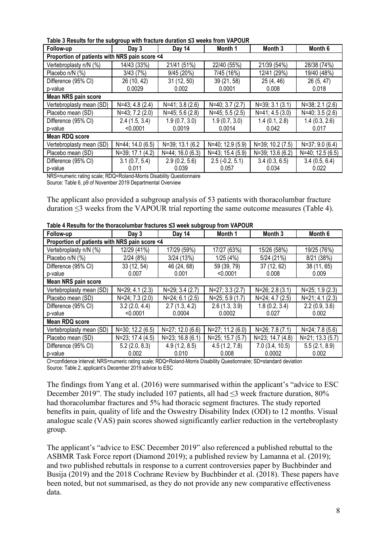<span id="page-7-0"></span>

| Table 3 Results for the subgroup with fracture duration ≤3 weeks from VAPOUR |  |  |  |  |
|------------------------------------------------------------------------------|--|--|--|--|
|------------------------------------------------------------------------------|--|--|--|--|

| Follow-up                                     | ັ<br>Day 3       | Day 14             | Month 1            | Month 3          | Month 6          |  |  |
|-----------------------------------------------|------------------|--------------------|--------------------|------------------|------------------|--|--|
| Proportion of patients with NRS pain score <4 |                  |                    |                    |                  |                  |  |  |
| Vertebroplasty n/N (%)                        | 14/43 (33%)      | 21/41 (51%)        | 22/40 (55%)        | 21/39 (54%)      | 28/38 (74%)      |  |  |
| Placebo n/N (%)                               | 3/43(7%)         | 9/45 (20%)         | 7/45 (16%)         | 12/41 (29%)      | 19/40 (48%)      |  |  |
| Difference (95% CI)                           | 26 (10, 42)      | 31(12, 50)         | 39 (21, 58)        | 25(4, 46)        | 26 (5, 47)       |  |  |
| p-value                                       | 0.0029           | 0.002              | 0.0001             | 0.008            | 0.018            |  |  |
| Mean NRS pain score                           |                  |                    |                    |                  |                  |  |  |
| Vertebroplasty mean (SD)                      | $N=43; 4.8(2.4)$ | $N=41$ ; 3.8 (2.6) | N=40; 3.7 (2.7)    | $N=39; 3.1(3.1)$ | N=38; 2.1 (2.6)  |  |  |
| Placebo mean (SD)                             | N=43; 7.2 (2.0)  | $N=45; 5.6(2.8)$   | $N=45$ ; 5.5 (2.5) | $N=41; 4.5(3.0)$ | $N=40; 3.5(2.6)$ |  |  |
| Difference (95% CI)                           | 2.4(1.5, 3.4)    | 1.9(0.7, 3.0)      | 1.9(0.7, 3.0)      | 1.4(0.1, 2.8)    | 1.4(0.3, 2.6)    |  |  |
| p-value                                       | < 0.0001         | 0.0019             | 0.0014             | 0.042            | 0.017            |  |  |
| Mean RDQ score                                |                  |                    |                    |                  |                  |  |  |
| Vertebroplasty mean (SD)                      | N=44; 14.0 (6.5) | N=39; 13.1 (6.2)   | N=40; 12.9 (5.9)   | N=39; 10.2 (7.5) | $N=37; 9.0(6.4)$ |  |  |
| Placebo mean (SD)                             | N=39; 17.1 (4.2) | N=44; 16.0 (6.3)   | N=43; 15.4 (5.9)   | N=39; 13.6 (6.2) | N=40; 12.5 (6.5) |  |  |
| Difference (95% CI)                           | 3.1(0.7, 5.4)    | 2.9(0.2, 5.6)      | $2.5(-0.2, 5.1)$   | 3.4(0.3, 6.5)    | 3.4(0.5, 6.4)    |  |  |
| p-value                                       | 0.011            | 0.039              | 0.057              | 0.034            | 0.022            |  |  |

NRS=numeric rating scale; RDQ=Roland-Morris Disability Questionnaire

Source: Table 6, p9 of November 2019 Departmental Overview

The applicant also provided a subgroup analysis of 53 patients with thoracolumbar fracture duration ≤3 weeks from the VAPOUR trial reporting the same outcome measures (Table 4).

| Follow-up                                     | Day 3            | Day 14            | Month 1          | Month 3            | Month 6            |  |  |  |
|-----------------------------------------------|------------------|-------------------|------------------|--------------------|--------------------|--|--|--|
| Proportion of patients with NRS pain score <4 |                  |                   |                  |                    |                    |  |  |  |
| Vertebroplasty n/N (%)                        | 12/29 (41%)      | 17/29 (59%)       | 17/27 (63%)      | 15/26 (58%)        | 19/25 (76%)        |  |  |  |
| Placebo n/N (%)                               | 2/24(8%)         | 3/24(13%)         | 1/25(4%)         | $5/24$ (21%)       | 8/21 (38%)         |  |  |  |
| Difference (95% CI)                           | 33(12, 54)       | 46 (24, 68)       | 59 (39, 79)      | 37 (12, 62)        | 38 (11, 65)        |  |  |  |
| p-value                                       | 0.007            | 0.001             | < 0.0001         | 0.008              | 0.009              |  |  |  |
| Mean NRS pain score                           |                  |                   |                  |                    |                    |  |  |  |
| Vertebroplasty mean (SD)                      | $N=29; 4.1(2.3)$ | $N=29; 3.4(2.7)$  | N=27; 3.3 (2.7)  | $N=26$ ; 2.8 (3.1) | $N=25$ ; 1.9 (2.3) |  |  |  |
| Placebo mean (SD)                             | N=24; 7.3 (2.0)  | $N=24; 6.1 (2.5)$ | $N=25; 5.9(1.7)$ | $N=24; 4.7(2.5)$   | $N=21; 4.1 (2.3)$  |  |  |  |
| Difference (95% CI)                           | 3.2(2.0, 4.4)    | 2.7(1.3, 4.2)     | 2.6(1.3, 3.9)    | 1.8(0.2, 3.4)      | 2.2(0.9, 3.6)      |  |  |  |
| p-value                                       | < 0.0001         | 0.0004            | 0.0002           | 0.027              | 0.002              |  |  |  |
| Mean RDQ score                                |                  |                   |                  |                    |                    |  |  |  |
| Vertebroplasty mean (SD)                      | N=30; 12.2 (6.5) | N=27; 12.0 (6.6)  | N=27; 11.2 (6.0) | N=26; 7.8 (7.1)    | $N=24$ ; 7.8 (5.6) |  |  |  |
| N=23; 17.4 (4.5)<br>Placebo mean (SD)         |                  | N=23; 16.8 (6.1)  | N=25; 15.7 (5.7) | N=23; 14.7 (4.8)   | N=21; 13.3 (5.7)   |  |  |  |
| Difference (95% CI)                           | 5.2(2.0, 8.3)    | 4.9(1.2, 8.5)     | 4.5(1.2, 7.8)    | 7.0(3.4, 10.5)     | 5.5(2.1, 8.9)      |  |  |  |
| p-value                                       | 0.002            | 0.010             | 0.008            | 0.0002             | 0.002              |  |  |  |

CI=confidence interval; NRS=numeric rating scale; RDQ=Roland-Morris Disability Questionnaire; SD=standard deviation Source: Table 2, applicant's December 2019 advice to ESC

The findings from Yang et al. (2016) were summarised within the applicant's "advice to ESC December 2019". The study included 107 patients, all had ≤3 week fracture duration, 80% had thoracolumbar fractures and 5% had thoracic segment fractures. The study reported benefits in pain, quality of life and the Oswestry Disability Index (ODI) to 12 months. Visual analogue scale (VAS) pain scores showed significantly earlier reduction in the vertebroplasty group.

The applicant's "advice to ESC December 2019" also referenced a published rebuttal to the ASBMR Task Force report (Diamond 2019); a published review by Lamanna et al. (2019); and two published rebuttals in response to a current controversies paper by Buchbinder and Busija (2019) and the 2018 Cochrane Review by Buchbinder et al. (2018). These papers have been noted, but not summarised, as they do not provide any new comparative effectiveness data.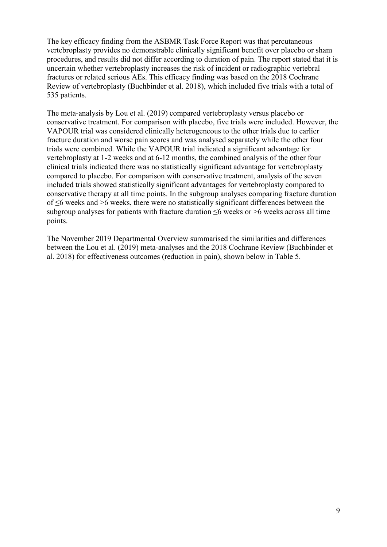The key efficacy finding from the ASBMR Task Force Report was that percutaneous vertebroplasty provides no demonstrable clinically significant benefit over placebo or sham procedures, and results did not differ according to duration of pain. The report stated that it is uncertain whether vertebroplasty increases the risk of incident or radiographic vertebral fractures or related serious AEs. This efficacy finding was based on the 2018 Cochrane Review of vertebroplasty (Buchbinder et al. 2018), which included five trials with a total of 535 patients.

The meta-analysis by Lou et al. (2019) compared vertebroplasty versus placebo or conservative treatment. For comparison with placebo, five trials were included. However, the VAPOUR trial was considered clinically heterogeneous to the other trials due to earlier fracture duration and worse pain scores and was analysed separately while the other four trials were combined. While the VAPOUR trial indicated a significant advantage for vertebroplasty at 1-2 weeks and at 6-12 months, the combined analysis of the other four clinical trials indicated there was no statistically significant advantage for vertebroplasty compared to placebo. For comparison with conservative treatment, analysis of the seven included trials showed statistically significant advantages for vertebroplasty compared to conservative therapy at all time points. In the subgroup analyses comparing fracture duration of ≤6 weeks and >6 weeks, there were no statistically significant differences between the subgroup analyses for patients with fracture duration ≤6 weeks or >6 weeks across all time points.

The November 2019 Departmental Overview summarised the similarities and differences between the Lou et al. (2019) meta-analyses and the 2018 Cochrane Review (Buchbinder et al. 2018) for effectiveness outcomes (reduction in pain), shown below in [Table 5.](#page-9-0)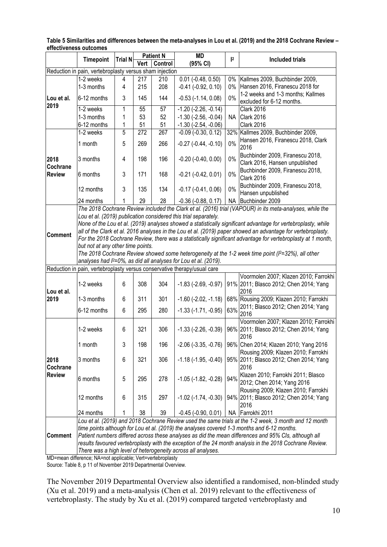|                                                                          | <b>Timepoint</b><br><b>Trial N</b>                                                                                                                                                                                                                                                                                                                                                                                                                                                                                                                                                                                                             |                             | <b>Patient N</b> |     | <b>MD</b>                     | $\mathsf{I}^2$ | <b>Included trials</b>                                                                                   |  |  |
|--------------------------------------------------------------------------|------------------------------------------------------------------------------------------------------------------------------------------------------------------------------------------------------------------------------------------------------------------------------------------------------------------------------------------------------------------------------------------------------------------------------------------------------------------------------------------------------------------------------------------------------------------------------------------------------------------------------------------------|-----------------------------|------------------|-----|-------------------------------|----------------|----------------------------------------------------------------------------------------------------------|--|--|
|                                                                          |                                                                                                                                                                                                                                                                                                                                                                                                                                                                                                                                                                                                                                                | Vert<br>Control<br>(95% CI) |                  |     |                               |                |                                                                                                          |  |  |
| Reduction in pain, vertebroplasty versus sham injection                  |                                                                                                                                                                                                                                                                                                                                                                                                                                                                                                                                                                                                                                                |                             |                  |     |                               |                |                                                                                                          |  |  |
|                                                                          | 1-2 weeks                                                                                                                                                                                                                                                                                                                                                                                                                                                                                                                                                                                                                                      | 4                           | 217              | 210 | $0.01$ (-0.48, 0.50)          | 0%             | Kallmes 2009, Buchbinder 2009,                                                                           |  |  |
|                                                                          | 1-3 months                                                                                                                                                                                                                                                                                                                                                                                                                                                                                                                                                                                                                                     | 4                           | 215              | 208 | $-0.41$ $(-0.92, 0.10)$       | $0\%$          | Hansen 2016, Firanescu 2018 for                                                                          |  |  |
| Lou et al.                                                               | 6-12 months                                                                                                                                                                                                                                                                                                                                                                                                                                                                                                                                                                                                                                    | 3                           | 145              | 144 | $-0.53$ $(-1.14, 0.08)$       | 0%             | 1-2 weeks and 1-3 months; Kallmes<br>excluded for 6-12 months.                                           |  |  |
| 2019                                                                     | 1-2 weeks                                                                                                                                                                                                                                                                                                                                                                                                                                                                                                                                                                                                                                      | 1                           | 55               | 57  | $-1.20$ ( $-2.26$ , $-0.14$ ) |                | <b>Clark 2016</b>                                                                                        |  |  |
|                                                                          | 1-3 months                                                                                                                                                                                                                                                                                                                                                                                                                                                                                                                                                                                                                                     | 1                           | 53               | 52  | $-1.30$ $(-2.56, -0.04)$      | NA             | Clark 2016                                                                                               |  |  |
|                                                                          | 6-12 months                                                                                                                                                                                                                                                                                                                                                                                                                                                                                                                                                                                                                                    | 1                           | 51               | 51  | $-1.30$ $(-2.54, -0.06)$      |                | <b>Clark 2016</b>                                                                                        |  |  |
|                                                                          | 1-2 weeks                                                                                                                                                                                                                                                                                                                                                                                                                                                                                                                                                                                                                                      | 5                           | 272              | 267 | $-0.09$ $(-0.30, 0.12)$       |                | 32% Kallmes 2009, Buchbinder 2009,                                                                       |  |  |
|                                                                          | 1 month                                                                                                                                                                                                                                                                                                                                                                                                                                                                                                                                                                                                                                        | 5                           | 269              | 266 | $-0.27$ $(-0.44, -0.10)$      | 0%             | Hansen 2016, Firanescu 2018, Clark<br>2016                                                               |  |  |
| 2018<br>Cochrane                                                         | 3 months                                                                                                                                                                                                                                                                                                                                                                                                                                                                                                                                                                                                                                       | 4                           | 198              | 196 | $-0.20$ $(-0.40, 0.00)$       | 0%             | Buchbinder 2009, Firanescu 2018,<br>Clark 2016, Hansen unpublished                                       |  |  |
| <b>Review</b>                                                            | 6 months                                                                                                                                                                                                                                                                                                                                                                                                                                                                                                                                                                                                                                       | 3                           | 171              | 168 | $-0.21$ $(-0.42, 0.01)$       | 0%             | Buchbinder 2009, Firanescu 2018,<br><b>Clark 2016</b>                                                    |  |  |
|                                                                          | 12 months                                                                                                                                                                                                                                                                                                                                                                                                                                                                                                                                                                                                                                      | 3                           | 135              | 134 | $-0.17$ $(-0.41, 0.06)$       | 0%             | Buchbinder 2009, Firanescu 2018,<br>Hansen unpublished                                                   |  |  |
|                                                                          | 24 months                                                                                                                                                                                                                                                                                                                                                                                                                                                                                                                                                                                                                                      | 1                           | 29               | 28  | $-0.36$ $(-0.88, 0.17)$       |                | NA Buchbinder 2009                                                                                       |  |  |
|                                                                          |                                                                                                                                                                                                                                                                                                                                                                                                                                                                                                                                                                                                                                                |                             |                  |     |                               |                | The 2018 Cochrane Review included the Clark et al. (2016) trial (VAPOUR) in its meta-analyses, while the |  |  |
| Comment                                                                  | Lou et al. (2019) publication considered this trial separately.<br>None of the Lou et al. (2019) analyses showed a statistically significant advantage for vertebroplasty, while<br>all of the Clark et al. 2016 analyses in the Lou et al. (2019) paper showed an advantage for vertebroplasty.<br>For the 2018 Cochrane Review, there was a statistically significant advantage for vertebroplasty at 1 month,<br>but not at any other time points.<br>The 2018 Cochrane Review showed some heterogeneity at the 1-2 week time point ( $12=32\%$ ), all other<br>analyses had I <sup>2</sup> =0%, as did all analyses for Lou et al. (2019). |                             |                  |     |                               |                |                                                                                                          |  |  |
| Reduction in pain, vertebroplasty versus conservative therapy/usual care |                                                                                                                                                                                                                                                                                                                                                                                                                                                                                                                                                                                                                                                |                             |                  |     |                               |                |                                                                                                          |  |  |
|                                                                          |                                                                                                                                                                                                                                                                                                                                                                                                                                                                                                                                                                                                                                                |                             |                  |     |                               |                | Voormolen 2007; Klazen 2010; Farrokhi                                                                    |  |  |
| Lou et al.                                                               | 1-2 weeks                                                                                                                                                                                                                                                                                                                                                                                                                                                                                                                                                                                                                                      | 6                           | 308              | 304 | $-1.83$ ( $-2.69$ , $-0.97$ ) |                | 91% 2011; Blasco 2012; Chen 2014; Yang<br>2016                                                           |  |  |
| 2019                                                                     | 1-3 months                                                                                                                                                                                                                                                                                                                                                                                                                                                                                                                                                                                                                                     | 6                           | 311              | 301 | $-1.60$ ( $-2.02$ , $-1.18$ ) |                | 68% Rousing 2009; Klazen 2010; Farrokhi                                                                  |  |  |
|                                                                          | 6-12 months                                                                                                                                                                                                                                                                                                                                                                                                                                                                                                                                                                                                                                    | 6                           | 295              | 280 | $-1.33$ $(-1.71, -0.95)$      | 63%            | 2011; Blasco 2012; Chen 2014; Yang<br>2016                                                               |  |  |
|                                                                          | 1-2 weeks                                                                                                                                                                                                                                                                                                                                                                                                                                                                                                                                                                                                                                      | 6                           | 321              | 306 | $-1.33$ $(-2.26, -0.39)$      |                | Voormolen 2007; Klazen 2010; Farrokhi<br>96% 2011; Blasco 2012; Chen 2014; Yang<br>2016                  |  |  |
|                                                                          | 1 month                                                                                                                                                                                                                                                                                                                                                                                                                                                                                                                                                                                                                                        | 3                           | 198              | 196 | $-2.06$ $(-3.35, -0.76)$      |                | 96% Chen 2014; Klazen 2010; Yang 2016<br>Rousing 2009; Klazen 2010; Farrokhi                             |  |  |
| 2018<br><b>Cochrane</b>                                                  | 3 months                                                                                                                                                                                                                                                                                                                                                                                                                                                                                                                                                                                                                                       | 6                           | 321              | 306 | $-1.18$ ( $-1.95$ , $-0.40$ ) |                | 95% 2011; Blasco 2012; Chen 2014; Yang<br>2016                                                           |  |  |
| <b>Review</b>                                                            | 6 months                                                                                                                                                                                                                                                                                                                                                                                                                                                                                                                                                                                                                                       | 5                           | 295              | 278 | $-1.05$ $(-1.82, -0.28)$      | 94%            | Klazen 2010; Farrokhi 2011; Blasco<br>2012; Chen 2014; Yang 2016<br>Rousing 2009; Klazen 2010; Farrokhi  |  |  |
|                                                                          | 12 months                                                                                                                                                                                                                                                                                                                                                                                                                                                                                                                                                                                                                                      | 6                           | 315              | 297 | $-1.02$ ( $-1.74$ , $-0.30$ ) |                | 94% 2011; Blasco 2012; Chen 2014; Yang<br>2016                                                           |  |  |
|                                                                          | 24 months                                                                                                                                                                                                                                                                                                                                                                                                                                                                                                                                                                                                                                      | 1                           | 38               | 39  | $-0.45$ $(-0.90, 0.01)$       |                | NA Farrokhi 2011                                                                                         |  |  |
|                                                                          |                                                                                                                                                                                                                                                                                                                                                                                                                                                                                                                                                                                                                                                |                             |                  |     |                               |                | Lou et al. (2019) and 2018 Cochrane Review used the same trials at the 1-2 week, 3 month and 12 month    |  |  |
|                                                                          | time points although for Lou et al. (2019) the analyses covered 1-3 months and 6-12 months.                                                                                                                                                                                                                                                                                                                                                                                                                                                                                                                                                    |                             |                  |     |                               |                |                                                                                                          |  |  |
| <b>Comment</b>                                                           | Patient numbers differed across these analyses as did the mean differences and 95% CIs, although all                                                                                                                                                                                                                                                                                                                                                                                                                                                                                                                                           |                             |                  |     |                               |                |                                                                                                          |  |  |
|                                                                          | results favoured vertebroplasty with the exception of the 24 month analysis in the 2018 Cochrane Review.                                                                                                                                                                                                                                                                                                                                                                                                                                                                                                                                       |                             |                  |     |                               |                |                                                                                                          |  |  |
|                                                                          | There was a high level of heterogeneity across all analyses.                                                                                                                                                                                                                                                                                                                                                                                                                                                                                                                                                                                   |                             |                  |     |                               |                |                                                                                                          |  |  |

<span id="page-9-0"></span>**Table 5 Similarities and differences between the meta-analyses in Lou et al. (2019) and the 2018 Cochrane Review – effectiveness outcomes**

MD=mean difference; NA=not applicable; Vert=vertebroplasty

Source: Table 8, p 11 of November 2019 Departmental Overview.

The November 2019 Departmental Overview also identified a randomised, non-blinded study (Xu et al. 2019) and a meta-analysis (Chen et al. 2019) relevant to the effectiveness of vertebroplasty. The study by Xu et al. (2019) compared targeted vertebroplasty and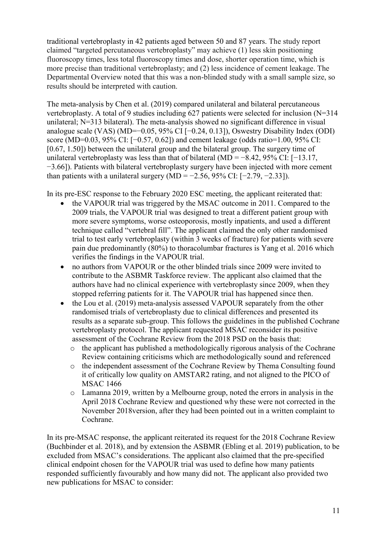traditional vertebroplasty in 42 patients aged between 50 and 87 years. The study report claimed "targeted percutaneous vertebroplasty" may achieve (1) less skin positioning fluoroscopy times, less total fluoroscopy times and dose, shorter operation time, which is more precise than traditional vertebroplasty; and (2) less incidence of cement leakage. The Departmental Overview noted that this was a non-blinded study with a small sample size, so results should be interpreted with caution.

The meta-analysis by Chen et al. (2019) compared unilateral and bilateral percutaneous vertebroplasty. A total of 9 studies including 627 patients were selected for inclusion (N=314 unilateral; N=313 bilateral). The meta-analysis showed no significant difference in visual analogue scale (VAS) (MD=−0.05, 95% CI [−0.24, 0.13]), Oswestry Disability Index (ODI) score (MD=0.03, 95% CI: [−0.57, 0.62]) and cement leakage (odds ratio=1.00, 95% CI: [0.67, 1.50]) between the unilateral group and the bilateral group. The surgery time of unilateral vertebroplasty was less than that of bilateral (MD =  $-8.42$ , 95% CI: [ $-13.17$ , −3.66]). Patients with bilateral vertebroplasty surgery have been injected with more cement than patients with a unilateral surgery  $(MD = -2.56, 95\% \text{ CI: } [-2.79, -2.33]).$ 

In its pre-ESC response to the February 2020 ESC meeting, the applicant reiterated that:

- the VAPOUR trial was triggered by the MSAC outcome in 2011. Compared to the 2009 trials, the VAPOUR trial was designed to treat a different patient group with more severe symptoms, worse osteoporosis, mostly inpatients, and used a different technique called "vertebral fill". The applicant claimed the only other randomised trial to test early vertebroplasty (within 3 weeks of fracture) for patients with severe pain due predominantly (80%) to thoracolumbar fractures is Yang et al. 2016 which verifies the findings in the VAPOUR trial.
- no authors from VAPOUR or the other blinded trials since 2009 were invited to contribute to the ASBMR Taskforce review. The applicant also claimed that the authors have had no clinical experience with vertebroplasty since 2009, when they stopped referring patients for it. The VAPOUR trial has happened since then.
- the Lou et al. (2019) meta-analysis assessed VAPOUR separately from the other randomised trials of vertebroplasty due to clinical differences and presented its results as a separate sub-group. This follows the guidelines in the published Cochrane vertebroplasty protocol. The applicant requested MSAC reconsider its positive assessment of the Cochrane Review from the 2018 PSD on the basis that:
	- $\circ$  the applicant has published a methodologically rigorous analysis of the Cochrane Review containing criticisms which are methodologically sound and referenced
	- o the independent assessment of the Cochrane Review by Thema Consulting found it of critically low quality on AMSTAR2 rating, and not aligned to the PICO of MSAC 1466
	- o Lamanna 2019, written by a Melbourne group, noted the errors in analysis in the April 2018 Cochrane Review and questioned why these were not corrected in the November 2018version, after they had been pointed out in a written complaint to Cochrane.

In its pre-MSAC response, the applicant reiterated its request for the 2018 Cochrane Review (Buchbinder et al. 2018), and by extension the ASBMR (Ebling et al. 2019) publication, to be excluded from MSAC's considerations. The applicant also claimed that the pre-specified clinical endpoint chosen for the VAPOUR trial was used to define how many patients responded sufficiently favourably and how many did not. The applicant also provided two new publications for MSAC to consider: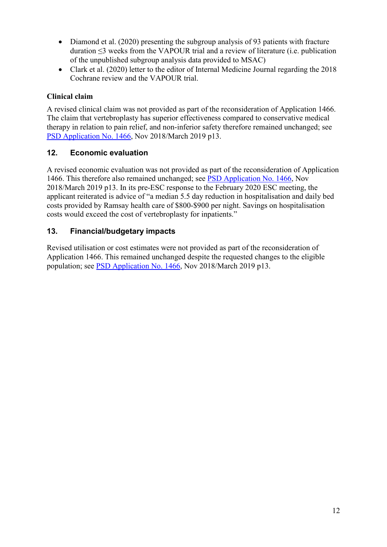- Diamond et al. (2020) presenting the subgroup analysis of 93 patients with fracture duration ≤3 weeks from the VAPOUR trial and a review of literature (i.e. publication of the unpublished subgroup analysis data provided to MSAC)
- Clark et al. (2020) letter to the editor of Internal Medicine Journal regarding the 2018 Cochrane review and the VAPOUR trial.

## **Clinical claim**

A revised clinical claim was not provided as part of the reconsideration of Application 1466. The claim that vertebroplasty has superior effectiveness compared to conservative medical therapy in relation to pain relief, and non-inferior safety therefore remained unchanged; see [PSD Application](http://www.msac.gov.au/internet/msac/publishing.nsf/Content/1466-Public) No. 1466, Nov 2018/March 2019 p13.

## **12. Economic evaluation**

A revised economic evaluation was not provided as part of the reconsideration of Application 1466. This therefore also remained unchanged; see [PSD Application](http://www.msac.gov.au/internet/msac/publishing.nsf/Content/1466-Public) No. 1466, Nov 2018/March 2019 p13. In its pre-ESC response to the February 2020 ESC meeting, the applicant reiterated is advice of "a median 5.5 day reduction in hospitalisation and daily bed costs provided by Ramsay health care of \$800-\$900 per night. Savings on hospitalisation costs would exceed the cost of vertebroplasty for inpatients."

## **13. Financial/budgetary impacts**

Revised utilisation or cost estimates were not provided as part of the reconsideration of Application 1466. This remained unchanged despite the requested changes to the eligible population; see [PSD Application](http://www.msac.gov.au/internet/msac/publishing.nsf/Content/1466-Public) No. 1466, Nov 2018/March 2019 p13.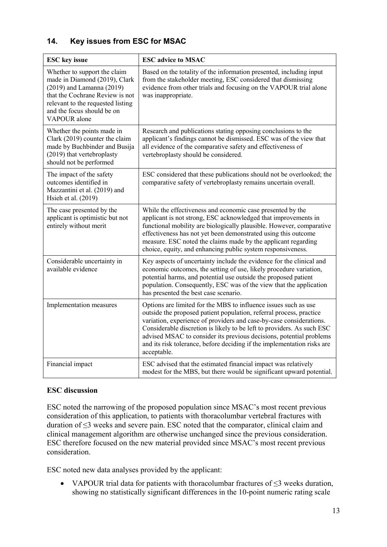## **14. Key issues from ESC for MSAC**

| <b>ESC</b> key issue                                                                                                                                                                                                 | <b>ESC</b> advice to MSAC                                                                                                                                                                                                                                                                                                                                                                                                                                |
|----------------------------------------------------------------------------------------------------------------------------------------------------------------------------------------------------------------------|----------------------------------------------------------------------------------------------------------------------------------------------------------------------------------------------------------------------------------------------------------------------------------------------------------------------------------------------------------------------------------------------------------------------------------------------------------|
| Whether to support the claim<br>made in Diamond (2019), Clark<br>$(2019)$ and Lamanna $(2019)$<br>that the Cochrane Review is not<br>relevant to the requested listing<br>and the focus should be on<br>VAPOUR alone | Based on the totality of the information presented, including input<br>from the stakeholder meeting, ESC considered that dismissing<br>evidence from other trials and focusing on the VAPOUR trial alone<br>was inappropriate.                                                                                                                                                                                                                           |
| Whether the points made in<br>Clark (2019) counter the claim<br>made by Buchbinder and Busija<br>(2019) that vertebroplasty<br>should not be performed                                                               | Research and publications stating opposing conclusions to the<br>applicant's findings cannot be dismissed. ESC was of the view that<br>all evidence of the comparative safety and effectiveness of<br>vertebroplasty should be considered.                                                                                                                                                                                                               |
| The impact of the safety<br>outcomes identified in<br>Mazzantini et al. (2019) and<br>Hsieh et al. (2019)                                                                                                            | ESC considered that these publications should not be overlooked; the<br>comparative safety of vertebroplasty remains uncertain overall.                                                                                                                                                                                                                                                                                                                  |
| The case presented by the<br>applicant is optimistic but not<br>entirely without merit                                                                                                                               | While the effectiveness and economic case presented by the<br>applicant is not strong, ESC acknowledged that improvements in<br>functional mobility are biologically plausible. However, comparative<br>effectiveness has not yet been demonstrated using this outcome<br>measure. ESC noted the claims made by the applicant regarding<br>choice, equity, and enhancing public system responsiveness.                                                   |
| Considerable uncertainty in<br>available evidence                                                                                                                                                                    | Key aspects of uncertainty include the evidence for the clinical and<br>economic outcomes, the setting of use, likely procedure variation,<br>potential harms, and potential use outside the proposed patient<br>population. Consequently, ESC was of the view that the application<br>has presented the best case scenario.                                                                                                                             |
| Implementation measures                                                                                                                                                                                              | Options are limited for the MBS to influence issues such as use<br>outside the proposed patient population, referral process, practice<br>variation, experience of providers and case-by-case considerations.<br>Considerable discretion is likely to be left to providers. As such ESC<br>advised MSAC to consider its previous decisions, potential problems<br>and its risk tolerance, before deciding if the implementation risks are<br>acceptable. |
| Financial impact                                                                                                                                                                                                     | ESC advised that the estimated financial impact was relatively<br>modest for the MBS, but there would be significant upward potential.                                                                                                                                                                                                                                                                                                                   |

#### **ESC discussion**

ESC noted the narrowing of the proposed population since MSAC's most recent previous consideration of this application, to patients with thoracolumbar vertebral fractures with duration of ≤3 weeks and severe pain. ESC noted that the comparator, clinical claim and clinical management algorithm are otherwise unchanged since the previous consideration. ESC therefore focused on the new material provided since MSAC's most recent previous consideration.

ESC noted new data analyses provided by the applicant:

• VAPOUR trial data for patients with thoracolumbar fractures of ≤3 weeks duration, showing no statistically significant differences in the 10-point numeric rating scale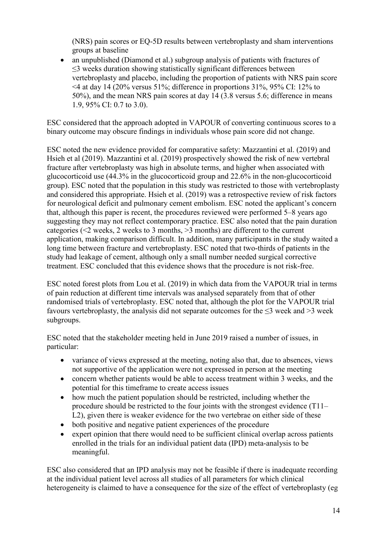(NRS) pain scores or EQ-5D results between vertebroplasty and sham interventions groups at baseline

• an unpublished (Diamond et al.) subgroup analysis of patients with fractures of ≤3 weeks duration showing statistically significant differences between vertebroplasty and placebo, including the proportion of patients with NRS pain score  $\leq$  4 at day 14 (20% versus 51%; difference in proportions 31%, 95% CI: 12% to 50%), and the mean NRS pain scores at day 14 (3.8 versus 5.6; difference in means 1.9, 95% CI: 0.7 to 3.0).

ESC considered that the approach adopted in VAPOUR of converting continuous scores to a binary outcome may obscure findings in individuals whose pain score did not change.

ESC noted the new evidence provided for comparative safety: Mazzantini et al. (2019) and Hsieh et al (2019). Mazzantini et al. (2019) prospectively showed the risk of new vertebral fracture after vertebroplasty was high in absolute terms, and higher when associated with glucocorticoid use (44.3% in the glucocorticoid group and 22.6% in the non-glucocorticoid group). ESC noted that the population in this study was restricted to those with vertebroplasty and considered this appropriate. Hsieh et al. (2019) was a retrospective review of risk factors for neurological deficit and pulmonary cement embolism. ESC noted the applicant's concern that, although this paper is recent, the procedures reviewed were performed 5–8 years ago suggesting they may not reflect contemporary practice. ESC also noted that the pain duration categories (<2 weeks, 2 weeks to 3 months, >3 months) are different to the current application, making comparison difficult. In addition, many participants in the study waited a long time between fracture and vertebroplasty. ESC noted that two-thirds of patients in the study had leakage of cement, although only a small number needed surgical corrective treatment. ESC concluded that this evidence shows that the procedure is not risk-free.

ESC noted forest plots from Lou et al. (2019) in which data from the VAPOUR trial in terms of pain reduction at different time intervals was analysed separately from that of other randomised trials of vertebroplasty. ESC noted that, although the plot for the VAPOUR trial favours vertebroplasty, the analysis did not separate outcomes for the  $\leq$ 3 week and >3 week subgroups.

ESC noted that the stakeholder meeting held in June 2019 raised a number of issues, in particular:

- variance of views expressed at the meeting, noting also that, due to absences, views not supportive of the application were not expressed in person at the meeting
- concern whether patients would be able to access treatment within 3 weeks, and the potential for this timeframe to create access issues
- how much the patient population should be restricted, including whether the procedure should be restricted to the four joints with the strongest evidence (T11– L2), given there is weaker evidence for the two vertebrae on either side of these
- both positive and negative patient experiences of the procedure
- expert opinion that there would need to be sufficient clinical overlap across patients enrolled in the trials for an individual patient data (IPD) meta-analysis to be meaningful.

ESC also considered that an IPD analysis may not be feasible if there is inadequate recording at the individual patient level across all studies of all parameters for which clinical heterogeneity is claimed to have a consequence for the size of the effect of vertebroplasty (eg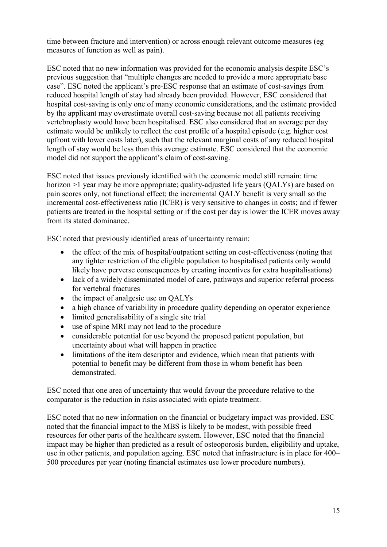time between fracture and intervention) or across enough relevant outcome measures (eg measures of function as well as pain).

ESC noted that no new information was provided for the economic analysis despite ESC's previous suggestion that "multiple changes are needed to provide a more appropriate base case". ESC noted the applicant's pre-ESC response that an estimate of cost-savings from reduced hospital length of stay had already been provided. However, ESC considered that hospital cost-saving is only one of many economic considerations, and the estimate provided by the applicant may overestimate overall cost-saving because not all patients receiving vertebroplasty would have been hospitalised. ESC also considered that an average per day estimate would be unlikely to reflect the cost profile of a hospital episode (e.g. higher cost upfront with lower costs later), such that the relevant marginal costs of any reduced hospital length of stay would be less than this average estimate. ESC considered that the economic model did not support the applicant's claim of cost-saving.

ESC noted that issues previously identified with the economic model still remain: time horizon >1 year may be more appropriate; quality-adjusted life years (QALYs) are based on pain scores only, not functional effect; the incremental QALY benefit is very small so the incremental cost-effectiveness ratio (ICER) is very sensitive to changes in costs; and if fewer patients are treated in the hospital setting or if the cost per day is lower the ICER moves away from its stated dominance.

ESC noted that previously identified areas of uncertainty remain:

- the effect of the mix of hospital/outpatient setting on cost-effectiveness (noting that any tighter restriction of the eligible population to hospitalised patients only would likely have perverse consequences by creating incentives for extra hospitalisations)
- lack of a widely disseminated model of care, pathways and superior referral process for vertebral fractures
- the impact of analgesic use on QALYs
- a high chance of variability in procedure quality depending on operator experience
- limited generalisability of a single site trial
- use of spine MRI may not lead to the procedure
- considerable potential for use beyond the proposed patient population, but uncertainty about what will happen in practice
- limitations of the item descriptor and evidence, which mean that patients with potential to benefit may be different from those in whom benefit has been demonstrated.

ESC noted that one area of uncertainty that would favour the procedure relative to the comparator is the reduction in risks associated with opiate treatment.

ESC noted that no new information on the financial or budgetary impact was provided. ESC noted that the financial impact to the MBS is likely to be modest, with possible freed resources for other parts of the healthcare system. However, ESC noted that the financial impact may be higher than predicted as a result of osteoporosis burden, eligibility and uptake, use in other patients, and population ageing. ESC noted that infrastructure is in place for 400– 500 procedures per year (noting financial estimates use lower procedure numbers).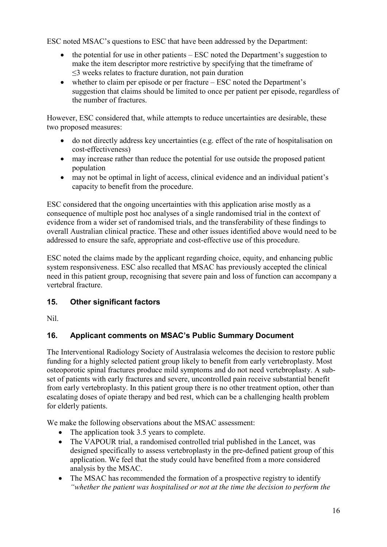ESC noted MSAC's questions to ESC that have been addressed by the Department:

- the potential for use in other patients  $-$  ESC noted the Department's suggestion to make the item descriptor more restrictive by specifying that the timeframe of ≤3 weeks relates to fracture duration, not pain duration
- whether to claim per episode or per fracture ESC noted the Department's suggestion that claims should be limited to once per patient per episode, regardless of the number of fractures.

However, ESC considered that, while attempts to reduce uncertainties are desirable, these two proposed measures:

- do not directly address key uncertainties (e.g. effect of the rate of hospitalisation on cost-effectiveness)
- may increase rather than reduce the potential for use outside the proposed patient population
- may not be optimal in light of access, clinical evidence and an individual patient's capacity to benefit from the procedure.

ESC considered that the ongoing uncertainties with this application arise mostly as a consequence of multiple post hoc analyses of a single randomised trial in the context of evidence from a wider set of randomised trials, and the transferability of these findings to overall Australian clinical practice. These and other issues identified above would need to be addressed to ensure the safe, appropriate and cost-effective use of this procedure.

ESC noted the claims made by the applicant regarding choice, equity, and enhancing public system responsiveness. ESC also recalled that MSAC has previously accepted the clinical need in this patient group, recognising that severe pain and loss of function can accompany a vertebral fracture.

# **15. Other significant factors**

Nil.

# **16. Applicant comments on MSAC's Public Summary Document**

The Interventional Radiology Society of Australasia welcomes the decision to restore public funding for a highly selected patient group likely to benefit from early vertebroplasty. Most osteoporotic spinal fractures produce mild symptoms and do not need vertebroplasty. A subset of patients with early fractures and severe, uncontrolled pain receive substantial benefit from early vertebroplasty. In this patient group there is no other treatment option, other than escalating doses of opiate therapy and bed rest, which can be a challenging health problem for elderly patients.

We make the following observations about the MSAC assessment:

- The application took 3.5 years to complete.
- The VAPOUR trial, a randomised controlled trial published in the Lancet, was designed specifically to assess vertebroplasty in the pre-defined patient group of this application. We feel that the study could have benefited from a more considered analysis by the MSAC.
- The MSAC has recommended the formation of a prospective registry to identify *"whether the patient was hospitalised or not at the time the decision to perform the*